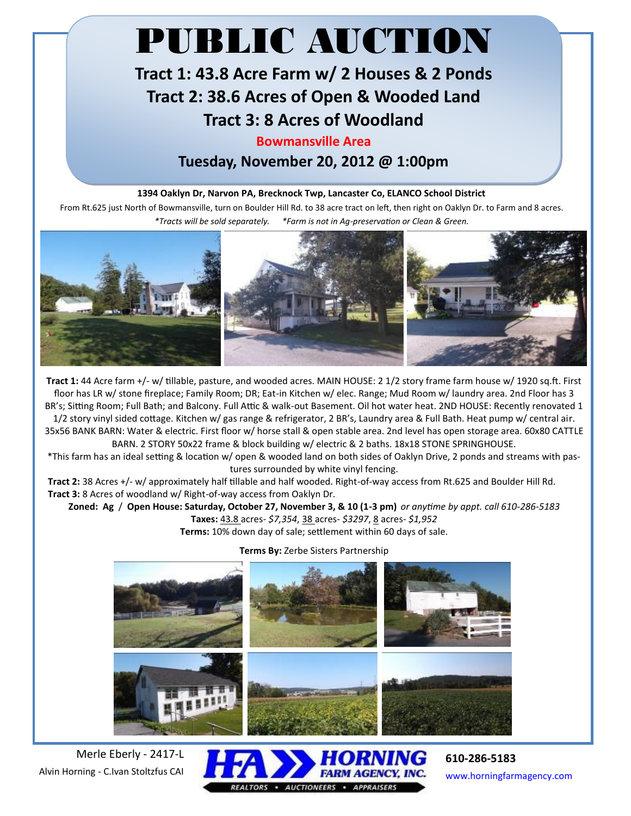# PUBLIC AUCTION

# **Tract 1: 43.8 Acre Farm w/ 2 Houses & 2 Ponds Tract 2: 38.6 Acres of Open & Wooded Land Tract 3: 8 Acres of Woodland**

## **Bowmansville Area**

**Tuesday, November 20, 2012 @ 1:00pm**

### **1394 Oaklyn Dr, Narvon PA, Brecknock Twp, Lancaster Co, ELANCO School District**

From Rt.625 just North of Bowmansville, turn on Boulder Hill Rd. to 38 acre tract on left, then right on Oaklyn Dr. to Farm and 8 acres. *\*Tracts will be sold separately. \*Farm is not in Ag-preservation or Clean & Green.*



**Tract 1:** 44 Acre farm +/- w/ tillable, pasture, and wooded acres. MAIN HOUSE: 2 1/2 story frame farm house w/ 1920 sq.ft. First floor has LR w/ stone fireplace; Family Room; DR; Eat-in Kitchen w/ elec. Range; Mud Room w/ laundry area. 2nd Floor has 3 BR's; Sitting Room; Full Bath; and Balcony. Full Attic & walk-out Basement. Oil hot water heat. 2ND HOUSE: Recently renovated 1 1/2 story vinyl sided cottage. Kitchen w/ gas range & refrigerator, 2 BR's, Laundry area & Full Bath. Heat pump w/ central air. 35x56 BANK BARN: Water & electric. First floor w/ horse stall & open stable area. 2nd level has open storage area. 60x80 CATTLE BARN. 2 STORY 50x22 frame & block building w/ electric & 2 baths. 18x18 STONE SPRINGHOUSE.

\*This farm has an ideal setting & location w/ open & wooded land on both sides of Oaklyn Drive, 2 ponds and streams with pastures surrounded by white vinyl fencing.

 **Tract 2:** 38 Acres +/- w/ approximately half tillable and half wooded. Right-of-way access from Rt.625 and Boulder Hill Rd. **Tract 3:** 8 Acres of woodland w/ Right-of-way access from Oaklyn Dr.

**Zoned: Ag** / **Open House: Saturday, October 27, November 3, & 10 (1-3 pm)** *or anytime by appt. call 610-286-5183* **Taxes:** 43.8 acres- *\$7,354*, 38 acres- *\$3297*, 8 acres- *\$1,952*

**Terms:** 10% down day of sale; settlement within 60 days of sale.

#### **Terms By:** Zerbe Sisters Partnership



Merle Eberly - 2417-L Alvin Horning - C.Ivan Stoltzfus CAI



**610-286-5183** www.horningfarmagency.com